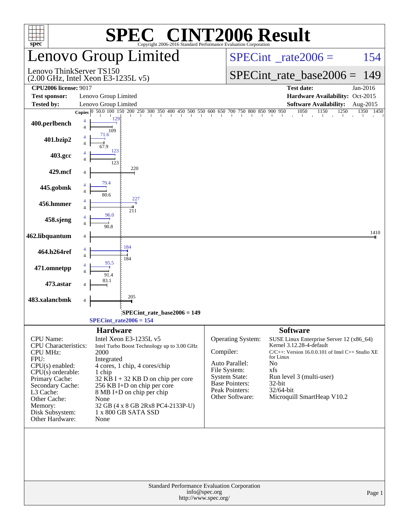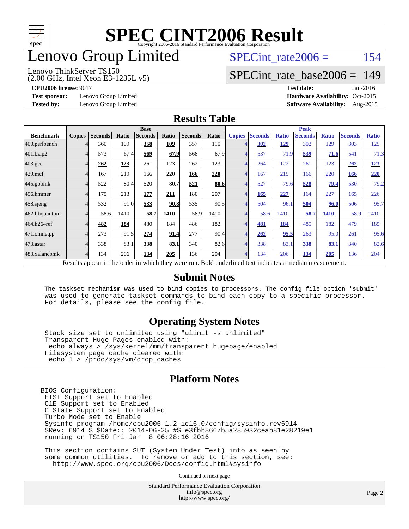

## enovo Group Limited

#### Lenovo ThinkServer TS150

SPECint rate $2006 = 154$ 

#### [SPECint\\_rate\\_base2006 =](http://www.spec.org/auto/cpu2006/Docs/result-fields.html#SPECintratebase2006) 149

**[Test sponsor:](http://www.spec.org/auto/cpu2006/Docs/result-fields.html#Testsponsor)** Lenovo Group Limited **[Hardware Availability:](http://www.spec.org/auto/cpu2006/Docs/result-fields.html#HardwareAvailability)** Oct-2015

(2.00 GHz, Intel Xeon E3-1235L v5)

**[CPU2006 license:](http://www.spec.org/auto/cpu2006/Docs/result-fields.html#CPU2006license)** 9017 **[Test date:](http://www.spec.org/auto/cpu2006/Docs/result-fields.html#Testdate)** Jan-2016 **[Tested by:](http://www.spec.org/auto/cpu2006/Docs/result-fields.html#Testedby)** Lenovo Group Limited **[Software Availability:](http://www.spec.org/auto/cpu2006/Docs/result-fields.html#SoftwareAvailability)** Aug-2015

#### **[Results Table](http://www.spec.org/auto/cpu2006/Docs/result-fields.html#ResultsTable)**

|                                                                                                          | <b>Base</b>   |                |       |                |       | <b>Peak</b>    |       |               |                |              |                |              |                |              |
|----------------------------------------------------------------------------------------------------------|---------------|----------------|-------|----------------|-------|----------------|-------|---------------|----------------|--------------|----------------|--------------|----------------|--------------|
| <b>Benchmark</b>                                                                                         | <b>Copies</b> | <b>Seconds</b> | Ratio | <b>Seconds</b> | Ratio | <b>Seconds</b> | Ratio | <b>Copies</b> | <b>Seconds</b> | <b>Ratio</b> | <b>Seconds</b> | <b>Ratio</b> | <b>Seconds</b> | <b>Ratio</b> |
| 400.perlbench                                                                                            |               | 360            | 109   | 358            | 109   | 357            | 110   |               | 302            | <u>129</u>   | 302            | 129          | 303            | 129          |
| 401.bzip2                                                                                                |               | 573            | 67.4  | 569            | 67.9  | 568            | 67.9  |               | 537            | 71.9         | 539            | 71.6         | 541            | 71.3         |
| $403.\text{gcc}$                                                                                         |               | 262            | 123   | 261            | 123   | 262            | 123   | 4             | 264            | 122          | 261            | 123          | 262            | 123          |
| $429$ .mcf                                                                                               |               | 167            | 219   | 166            | 220   | 166            | 220   |               | 167            | 219          | 166            | 220          | 166            | 220          |
| $445$ .gobmk                                                                                             |               | 522            | 80.4  | 520            | 80.7  | 521            | 80.6  |               | 527            | 79.6         | 528            | <u>79.4</u>  | 530            | 79.2         |
| 456.hmmer                                                                                                |               | 175            | 213   | 177            | 211   | 180            | 207   |               | 165            | 227          | 164            | 227          | 165            | 226          |
| $458$ .sjeng                                                                                             |               | 532            | 91.0  | 533            | 90.8  | 535            | 90.5  |               | 504            | 96.1         | 504            | 96.0         | 506            | 95.7         |
| 462.libquantum                                                                                           |               | 58.6           | 1410  | 58.7           | 1410  | 58.9           | 1410  |               | 58.6           | 1410         | 58.7           | 1410         | 58.9           | 1410         |
| 464.h264ref                                                                                              |               | 482            | 184   | 480            | 184   | 486            | 182   |               | 481            | 184          | 485            | 182          | 479            | 185          |
| 471.omnetpp                                                                                              |               | 273            | 91.5  | 274            | 91.4  | 277            | 90.4  |               | 262            | 95.5         | 263            | 95.0         | 261            | 95.6         |
| 473.astar                                                                                                |               | 338            | 83.1  | 338            | 83.1  | 340            | 82.6  |               | 338            | 83.1         | 338            | 83.1         | 340            | 82.6         |
| 483.xalancbmk                                                                                            |               | 134            | 206   | 134            | 205   | 136            | 204   |               | 134            | 206          | 134            | 205          | 136            | 204          |
| Results appear in the order in which they were run. Bold underlined text indicates a median measurement. |               |                |       |                |       |                |       |               |                |              |                |              |                |              |

#### **[Submit Notes](http://www.spec.org/auto/cpu2006/Docs/result-fields.html#SubmitNotes)**

 The taskset mechanism was used to bind copies to processors. The config file option 'submit' was used to generate taskset commands to bind each copy to a specific processor. For details, please see the config file.

#### **[Operating System Notes](http://www.spec.org/auto/cpu2006/Docs/result-fields.html#OperatingSystemNotes)**

 Stack size set to unlimited using "ulimit -s unlimited" Transparent Huge Pages enabled with: echo always > /sys/kernel/mm/transparent\_hugepage/enabled Filesystem page cache cleared with: echo 1 > /proc/sys/vm/drop\_caches

#### **[Platform Notes](http://www.spec.org/auto/cpu2006/Docs/result-fields.html#PlatformNotes)**

BIOS Configuration: EIST Support set to Enabled C1E Support set to Enabled C State Support set to Enabled Turbo Mode set to Enable Sysinfo program /home/cpu2006-1.2-ic16.0/config/sysinfo.rev6914 \$Rev: 6914 \$ \$Date:: 2014-06-25 #\$ e3fbb8667b5a285932ceab81e28219e1 running on TS150 Fri Jan 8 06:28:16 2016

 This section contains SUT (System Under Test) info as seen by some common utilities. To remove or add to this section, see: <http://www.spec.org/cpu2006/Docs/config.html#sysinfo>

Continued on next page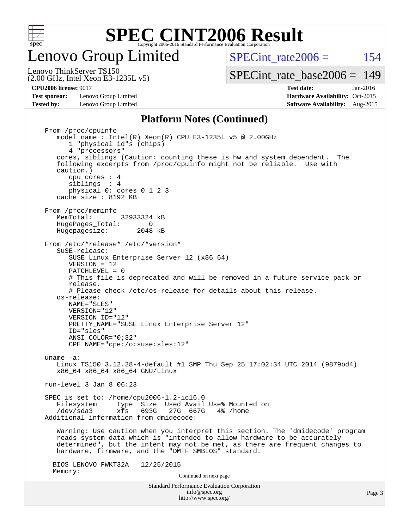

enovo Group Limited

SPECint rate $2006 = 154$ 

(2.00 GHz, Intel Xeon E3-1235L v5) Lenovo ThinkServer TS150

[SPECint\\_rate\\_base2006 =](http://www.spec.org/auto/cpu2006/Docs/result-fields.html#SPECintratebase2006) 149

**[Test sponsor:](http://www.spec.org/auto/cpu2006/Docs/result-fields.html#Testsponsor)** Lenovo Group Limited **[Hardware Availability:](http://www.spec.org/auto/cpu2006/Docs/result-fields.html#HardwareAvailability)** Oct-2015 **[Tested by:](http://www.spec.org/auto/cpu2006/Docs/result-fields.html#Testedby)** Lenovo Group Limited **[Software Availability:](http://www.spec.org/auto/cpu2006/Docs/result-fields.html#SoftwareAvailability)** Aug-2015

**[CPU2006 license:](http://www.spec.org/auto/cpu2006/Docs/result-fields.html#CPU2006license)** 9017 **[Test date:](http://www.spec.org/auto/cpu2006/Docs/result-fields.html#Testdate)** Jan-2016

#### **[Platform Notes \(Continued\)](http://www.spec.org/auto/cpu2006/Docs/result-fields.html#PlatformNotes)**

Standard Performance Evaluation Corporation [info@spec.org](mailto:info@spec.org) From /proc/cpuinfo model name : Intel(R) Xeon(R) CPU E3-1235L v5 @ 2.00GHz 1 "physical id"s (chips) 4 "processors" cores, siblings (Caution: counting these is hw and system dependent. The following excerpts from /proc/cpuinfo might not be reliable. Use with caution.) cpu cores : 4 siblings : 4 physical 0: cores 0 1 2 3 cache size : 8192 KB From /proc/meminfo MemTotal: 32933324 kB HugePages\_Total: 0<br>Hugepagesize: 2048 kB Hugepagesize: From /etc/\*release\* /etc/\*version\* SuSE-release: SUSE Linux Enterprise Server 12 (x86\_64) VERSION = 12 PATCHLEVEL = 0 # This file is deprecated and will be removed in a future service pack or release. # Please check /etc/os-release for details about this release. os-release: NAME="SLES" VERSION="12" VERSION\_ID="12" PRETTY\_NAME="SUSE Linux Enterprise Server 12" ID="sles" ANSI\_COLOR="0;32" CPE\_NAME="cpe:/o:suse:sles:12" uname -a: Linux TS150 3.12.28-4-default #1 SMP Thu Sep 25 17:02:34 UTC 2014 (9879bd4) x86\_64 x86\_64 x86\_64 GNU/Linux run-level 3 Jan 8 06:23 SPEC is set to: /home/cpu2006-1.2-ic16.0 Filesystem Type Size Used Avail Use% Mounted on<br>
/dev/sda3 xfs 693G 27G 667G 4% /home xfs 693G 27G 667G 4% /home Additional information from dmidecode: Warning: Use caution when you interpret this section. The 'dmidecode' program reads system data which is "intended to allow hardware to be accurately determined", but the intent may not be met, as there are frequent changes to hardware, firmware, and the "DMTF SMBIOS" standard. BIOS LENOVO FWKT32A 12/25/2015 Memory: Continued on next page

<http://www.spec.org/>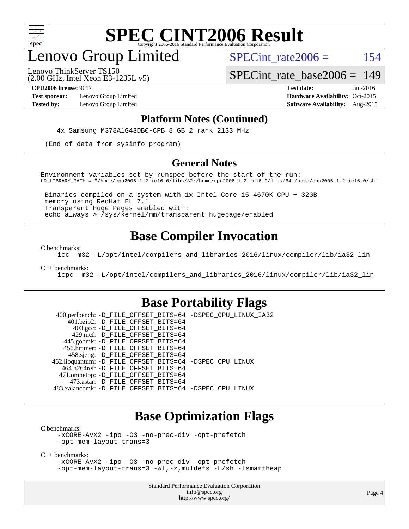

## enovo Group Limited

SPECint rate $2006 = 154$ 

(2.00 GHz, Intel Xeon E3-1235L v5) Lenovo ThinkServer TS150

SPECint rate base  $2006 = 149$ 

**[Test sponsor:](http://www.spec.org/auto/cpu2006/Docs/result-fields.html#Testsponsor)** Lenovo Group Limited **[Hardware Availability:](http://www.spec.org/auto/cpu2006/Docs/result-fields.html#HardwareAvailability)** Oct-2015

**[CPU2006 license:](http://www.spec.org/auto/cpu2006/Docs/result-fields.html#CPU2006license)** 9017 **[Test date:](http://www.spec.org/auto/cpu2006/Docs/result-fields.html#Testdate)** Jan-2016 **[Tested by:](http://www.spec.org/auto/cpu2006/Docs/result-fields.html#Testedby)** Lenovo Group Limited **[Software Availability:](http://www.spec.org/auto/cpu2006/Docs/result-fields.html#SoftwareAvailability)** Aug-2015

#### **[Platform Notes \(Continued\)](http://www.spec.org/auto/cpu2006/Docs/result-fields.html#PlatformNotes)**

4x Samsung M378A1G43DB0-CPB 8 GB 2 rank 2133 MHz

(End of data from sysinfo program)

#### **[General Notes](http://www.spec.org/auto/cpu2006/Docs/result-fields.html#GeneralNotes)**

Environment variables set by runspec before the start of the run: LD\_LIBRARY\_PATH = "/home/cpu2006-1.2-ic16.0/libs/32:/home/cpu2006-1.2-ic16.0/libs/64:/home/cpu2006-1.2-ic16.0/sh"

 Binaries compiled on a system with 1x Intel Core i5-4670K CPU + 32GB memory using RedHat EL 7.1 Transparent Huge Pages enabled with: echo always > /sys/kernel/mm/transparent\_hugepage/enabled

### **[Base Compiler Invocation](http://www.spec.org/auto/cpu2006/Docs/result-fields.html#BaseCompilerInvocation)**

[C benchmarks](http://www.spec.org/auto/cpu2006/Docs/result-fields.html#Cbenchmarks):

[icc -m32 -L/opt/intel/compilers\\_and\\_libraries\\_2016/linux/compiler/lib/ia32\\_lin](http://www.spec.org/cpu2006/results/res2016q1/cpu2006-20160125-38844.flags.html#user_CCbase_intel_icc_e10256ba5924b668798078a321b0cb3f)

[C++ benchmarks:](http://www.spec.org/auto/cpu2006/Docs/result-fields.html#CXXbenchmarks)

[icpc -m32 -L/opt/intel/compilers\\_and\\_libraries\\_2016/linux/compiler/lib/ia32\\_lin](http://www.spec.org/cpu2006/results/res2016q1/cpu2006-20160125-38844.flags.html#user_CXXbase_intel_icpc_b4f50a394bdb4597aa5879c16bc3f5c5)

### **[Base Portability Flags](http://www.spec.org/auto/cpu2006/Docs/result-fields.html#BasePortabilityFlags)**

 400.perlbench: [-D\\_FILE\\_OFFSET\\_BITS=64](http://www.spec.org/cpu2006/results/res2016q1/cpu2006-20160125-38844.flags.html#user_basePORTABILITY400_perlbench_file_offset_bits_64_438cf9856305ebd76870a2c6dc2689ab) [-DSPEC\\_CPU\\_LINUX\\_IA32](http://www.spec.org/cpu2006/results/res2016q1/cpu2006-20160125-38844.flags.html#b400.perlbench_baseCPORTABILITY_DSPEC_CPU_LINUX_IA32) 401.bzip2: [-D\\_FILE\\_OFFSET\\_BITS=64](http://www.spec.org/cpu2006/results/res2016q1/cpu2006-20160125-38844.flags.html#user_basePORTABILITY401_bzip2_file_offset_bits_64_438cf9856305ebd76870a2c6dc2689ab) 403.gcc: [-D\\_FILE\\_OFFSET\\_BITS=64](http://www.spec.org/cpu2006/results/res2016q1/cpu2006-20160125-38844.flags.html#user_basePORTABILITY403_gcc_file_offset_bits_64_438cf9856305ebd76870a2c6dc2689ab) 429.mcf: [-D\\_FILE\\_OFFSET\\_BITS=64](http://www.spec.org/cpu2006/results/res2016q1/cpu2006-20160125-38844.flags.html#user_basePORTABILITY429_mcf_file_offset_bits_64_438cf9856305ebd76870a2c6dc2689ab) 445.gobmk: [-D\\_FILE\\_OFFSET\\_BITS=64](http://www.spec.org/cpu2006/results/res2016q1/cpu2006-20160125-38844.flags.html#user_basePORTABILITY445_gobmk_file_offset_bits_64_438cf9856305ebd76870a2c6dc2689ab) 456.hmmer: [-D\\_FILE\\_OFFSET\\_BITS=64](http://www.spec.org/cpu2006/results/res2016q1/cpu2006-20160125-38844.flags.html#user_basePORTABILITY456_hmmer_file_offset_bits_64_438cf9856305ebd76870a2c6dc2689ab) 458.sjeng: [-D\\_FILE\\_OFFSET\\_BITS=64](http://www.spec.org/cpu2006/results/res2016q1/cpu2006-20160125-38844.flags.html#user_basePORTABILITY458_sjeng_file_offset_bits_64_438cf9856305ebd76870a2c6dc2689ab) 462.libquantum: [-D\\_FILE\\_OFFSET\\_BITS=64](http://www.spec.org/cpu2006/results/res2016q1/cpu2006-20160125-38844.flags.html#user_basePORTABILITY462_libquantum_file_offset_bits_64_438cf9856305ebd76870a2c6dc2689ab) [-DSPEC\\_CPU\\_LINUX](http://www.spec.org/cpu2006/results/res2016q1/cpu2006-20160125-38844.flags.html#b462.libquantum_baseCPORTABILITY_DSPEC_CPU_LINUX) 464.h264ref: [-D\\_FILE\\_OFFSET\\_BITS=64](http://www.spec.org/cpu2006/results/res2016q1/cpu2006-20160125-38844.flags.html#user_basePORTABILITY464_h264ref_file_offset_bits_64_438cf9856305ebd76870a2c6dc2689ab) 471.omnetpp: [-D\\_FILE\\_OFFSET\\_BITS=64](http://www.spec.org/cpu2006/results/res2016q1/cpu2006-20160125-38844.flags.html#user_basePORTABILITY471_omnetpp_file_offset_bits_64_438cf9856305ebd76870a2c6dc2689ab) 473.astar: [-D\\_FILE\\_OFFSET\\_BITS=64](http://www.spec.org/cpu2006/results/res2016q1/cpu2006-20160125-38844.flags.html#user_basePORTABILITY473_astar_file_offset_bits_64_438cf9856305ebd76870a2c6dc2689ab) 483.xalancbmk: [-D\\_FILE\\_OFFSET\\_BITS=64](http://www.spec.org/cpu2006/results/res2016q1/cpu2006-20160125-38844.flags.html#user_basePORTABILITY483_xalancbmk_file_offset_bits_64_438cf9856305ebd76870a2c6dc2689ab) [-DSPEC\\_CPU\\_LINUX](http://www.spec.org/cpu2006/results/res2016q1/cpu2006-20160125-38844.flags.html#b483.xalancbmk_baseCXXPORTABILITY_DSPEC_CPU_LINUX)

#### **[Base Optimization Flags](http://www.spec.org/auto/cpu2006/Docs/result-fields.html#BaseOptimizationFlags)**

[C benchmarks](http://www.spec.org/auto/cpu2006/Docs/result-fields.html#Cbenchmarks):

[-xCORE-AVX2](http://www.spec.org/cpu2006/results/res2016q1/cpu2006-20160125-38844.flags.html#user_CCbase_f-xAVX2_5f5fc0cbe2c9f62c816d3e45806c70d7) [-ipo](http://www.spec.org/cpu2006/results/res2016q1/cpu2006-20160125-38844.flags.html#user_CCbase_f-ipo) [-O3](http://www.spec.org/cpu2006/results/res2016q1/cpu2006-20160125-38844.flags.html#user_CCbase_f-O3) [-no-prec-div](http://www.spec.org/cpu2006/results/res2016q1/cpu2006-20160125-38844.flags.html#user_CCbase_f-no-prec-div) [-opt-prefetch](http://www.spec.org/cpu2006/results/res2016q1/cpu2006-20160125-38844.flags.html#user_CCbase_f-opt-prefetch) [-opt-mem-layout-trans=3](http://www.spec.org/cpu2006/results/res2016q1/cpu2006-20160125-38844.flags.html#user_CCbase_f-opt-mem-layout-trans_a7b82ad4bd7abf52556d4961a2ae94d5)

[C++ benchmarks:](http://www.spec.org/auto/cpu2006/Docs/result-fields.html#CXXbenchmarks)

[-xCORE-AVX2](http://www.spec.org/cpu2006/results/res2016q1/cpu2006-20160125-38844.flags.html#user_CXXbase_f-xAVX2_5f5fc0cbe2c9f62c816d3e45806c70d7) [-ipo](http://www.spec.org/cpu2006/results/res2016q1/cpu2006-20160125-38844.flags.html#user_CXXbase_f-ipo) [-O3](http://www.spec.org/cpu2006/results/res2016q1/cpu2006-20160125-38844.flags.html#user_CXXbase_f-O3) [-no-prec-div](http://www.spec.org/cpu2006/results/res2016q1/cpu2006-20160125-38844.flags.html#user_CXXbase_f-no-prec-div) [-opt-prefetch](http://www.spec.org/cpu2006/results/res2016q1/cpu2006-20160125-38844.flags.html#user_CXXbase_f-opt-prefetch) [-opt-mem-layout-trans=3](http://www.spec.org/cpu2006/results/res2016q1/cpu2006-20160125-38844.flags.html#user_CXXbase_f-opt-mem-layout-trans_a7b82ad4bd7abf52556d4961a2ae94d5) [-Wl,-z,muldefs](http://www.spec.org/cpu2006/results/res2016q1/cpu2006-20160125-38844.flags.html#user_CXXbase_link_force_multiple1_74079c344b956b9658436fd1b6dd3a8a) [-L/sh -lsmartheap](http://www.spec.org/cpu2006/results/res2016q1/cpu2006-20160125-38844.flags.html#user_CXXbase_SmartHeap_32f6c82aa1ed9c52345d30cf6e4a0499)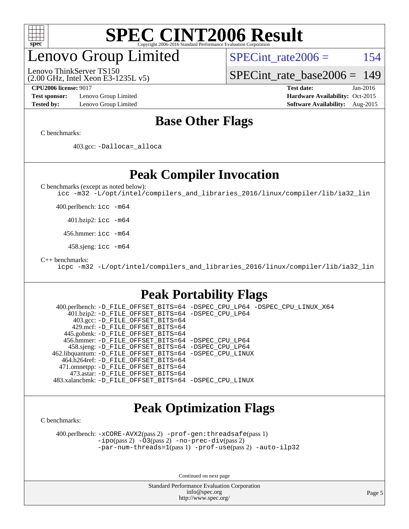

### enovo Group Limited

Lenovo ThinkServer TS150

SPECint rate $2006 = 154$ 

[SPECint\\_rate\\_base2006 =](http://www.spec.org/auto/cpu2006/Docs/result-fields.html#SPECintratebase2006) 149

**[Test sponsor:](http://www.spec.org/auto/cpu2006/Docs/result-fields.html#Testsponsor)** Lenovo Group Limited **[Hardware Availability:](http://www.spec.org/auto/cpu2006/Docs/result-fields.html#HardwareAvailability)** Oct-2015

(2.00 GHz, Intel Xeon E3-1235L v5)

**[CPU2006 license:](http://www.spec.org/auto/cpu2006/Docs/result-fields.html#CPU2006license)** 9017 **[Test date:](http://www.spec.org/auto/cpu2006/Docs/result-fields.html#Testdate)** Jan-2016 **[Tested by:](http://www.spec.org/auto/cpu2006/Docs/result-fields.html#Testedby)** Lenovo Group Limited **[Software Availability:](http://www.spec.org/auto/cpu2006/Docs/result-fields.html#SoftwareAvailability)** Aug-2015

#### **[Base Other Flags](http://www.spec.org/auto/cpu2006/Docs/result-fields.html#BaseOtherFlags)**

[C benchmarks](http://www.spec.org/auto/cpu2006/Docs/result-fields.html#Cbenchmarks):

403.gcc: [-Dalloca=\\_alloca](http://www.spec.org/cpu2006/results/res2016q1/cpu2006-20160125-38844.flags.html#b403.gcc_baseEXTRA_CFLAGS_Dalloca_be3056838c12de2578596ca5467af7f3)

### **[Peak Compiler Invocation](http://www.spec.org/auto/cpu2006/Docs/result-fields.html#PeakCompilerInvocation)**

[C benchmarks \(except as noted below\)](http://www.spec.org/auto/cpu2006/Docs/result-fields.html#Cbenchmarksexceptasnotedbelow):

[icc -m32 -L/opt/intel/compilers\\_and\\_libraries\\_2016/linux/compiler/lib/ia32\\_lin](http://www.spec.org/cpu2006/results/res2016q1/cpu2006-20160125-38844.flags.html#user_CCpeak_intel_icc_e10256ba5924b668798078a321b0cb3f)

400.perlbench: [icc -m64](http://www.spec.org/cpu2006/results/res2016q1/cpu2006-20160125-38844.flags.html#user_peakCCLD400_perlbench_intel_icc_64bit_bda6cc9af1fdbb0edc3795bac97ada53)

401.bzip2: [icc -m64](http://www.spec.org/cpu2006/results/res2016q1/cpu2006-20160125-38844.flags.html#user_peakCCLD401_bzip2_intel_icc_64bit_bda6cc9af1fdbb0edc3795bac97ada53)

456.hmmer: [icc -m64](http://www.spec.org/cpu2006/results/res2016q1/cpu2006-20160125-38844.flags.html#user_peakCCLD456_hmmer_intel_icc_64bit_bda6cc9af1fdbb0edc3795bac97ada53)

458.sjeng: [icc -m64](http://www.spec.org/cpu2006/results/res2016q1/cpu2006-20160125-38844.flags.html#user_peakCCLD458_sjeng_intel_icc_64bit_bda6cc9af1fdbb0edc3795bac97ada53)

[C++ benchmarks:](http://www.spec.org/auto/cpu2006/Docs/result-fields.html#CXXbenchmarks)

[icpc -m32 -L/opt/intel/compilers\\_and\\_libraries\\_2016/linux/compiler/lib/ia32\\_lin](http://www.spec.org/cpu2006/results/res2016q1/cpu2006-20160125-38844.flags.html#user_CXXpeak_intel_icpc_b4f50a394bdb4597aa5879c16bc3f5c5)

### **[Peak Portability Flags](http://www.spec.org/auto/cpu2006/Docs/result-fields.html#PeakPortabilityFlags)**

 400.perlbench: [-D\\_FILE\\_OFFSET\\_BITS=64](http://www.spec.org/cpu2006/results/res2016q1/cpu2006-20160125-38844.flags.html#user_peakPORTABILITY400_perlbench_file_offset_bits_64_438cf9856305ebd76870a2c6dc2689ab) [-DSPEC\\_CPU\\_LP64](http://www.spec.org/cpu2006/results/res2016q1/cpu2006-20160125-38844.flags.html#b400.perlbench_peakCPORTABILITY_DSPEC_CPU_LP64) [-DSPEC\\_CPU\\_LINUX\\_X64](http://www.spec.org/cpu2006/results/res2016q1/cpu2006-20160125-38844.flags.html#b400.perlbench_peakCPORTABILITY_DSPEC_CPU_LINUX_X64) 401.bzip2: [-D\\_FILE\\_OFFSET\\_BITS=64](http://www.spec.org/cpu2006/results/res2016q1/cpu2006-20160125-38844.flags.html#user_peakPORTABILITY401_bzip2_file_offset_bits_64_438cf9856305ebd76870a2c6dc2689ab) [-DSPEC\\_CPU\\_LP64](http://www.spec.org/cpu2006/results/res2016q1/cpu2006-20160125-38844.flags.html#suite_peakCPORTABILITY401_bzip2_DSPEC_CPU_LP64) 403.gcc: [-D\\_FILE\\_OFFSET\\_BITS=64](http://www.spec.org/cpu2006/results/res2016q1/cpu2006-20160125-38844.flags.html#user_peakPORTABILITY403_gcc_file_offset_bits_64_438cf9856305ebd76870a2c6dc2689ab) 429.mcf: [-D\\_FILE\\_OFFSET\\_BITS=64](http://www.spec.org/cpu2006/results/res2016q1/cpu2006-20160125-38844.flags.html#user_peakPORTABILITY429_mcf_file_offset_bits_64_438cf9856305ebd76870a2c6dc2689ab) 445.gobmk: [-D\\_FILE\\_OFFSET\\_BITS=64](http://www.spec.org/cpu2006/results/res2016q1/cpu2006-20160125-38844.flags.html#user_peakPORTABILITY445_gobmk_file_offset_bits_64_438cf9856305ebd76870a2c6dc2689ab) 456.hmmer: [-D\\_FILE\\_OFFSET\\_BITS=64](http://www.spec.org/cpu2006/results/res2016q1/cpu2006-20160125-38844.flags.html#user_peakPORTABILITY456_hmmer_file_offset_bits_64_438cf9856305ebd76870a2c6dc2689ab) [-DSPEC\\_CPU\\_LP64](http://www.spec.org/cpu2006/results/res2016q1/cpu2006-20160125-38844.flags.html#suite_peakCPORTABILITY456_hmmer_DSPEC_CPU_LP64) 458.sjeng: [-D\\_FILE\\_OFFSET\\_BITS=64](http://www.spec.org/cpu2006/results/res2016q1/cpu2006-20160125-38844.flags.html#user_peakPORTABILITY458_sjeng_file_offset_bits_64_438cf9856305ebd76870a2c6dc2689ab) [-DSPEC\\_CPU\\_LP64](http://www.spec.org/cpu2006/results/res2016q1/cpu2006-20160125-38844.flags.html#suite_peakCPORTABILITY458_sjeng_DSPEC_CPU_LP64) 462.libquantum: [-D\\_FILE\\_OFFSET\\_BITS=64](http://www.spec.org/cpu2006/results/res2016q1/cpu2006-20160125-38844.flags.html#user_peakPORTABILITY462_libquantum_file_offset_bits_64_438cf9856305ebd76870a2c6dc2689ab) [-DSPEC\\_CPU\\_LINUX](http://www.spec.org/cpu2006/results/res2016q1/cpu2006-20160125-38844.flags.html#b462.libquantum_peakCPORTABILITY_DSPEC_CPU_LINUX) 464.h264ref: [-D\\_FILE\\_OFFSET\\_BITS=64](http://www.spec.org/cpu2006/results/res2016q1/cpu2006-20160125-38844.flags.html#user_peakPORTABILITY464_h264ref_file_offset_bits_64_438cf9856305ebd76870a2c6dc2689ab) 471.omnetpp: [-D\\_FILE\\_OFFSET\\_BITS=64](http://www.spec.org/cpu2006/results/res2016q1/cpu2006-20160125-38844.flags.html#user_peakPORTABILITY471_omnetpp_file_offset_bits_64_438cf9856305ebd76870a2c6dc2689ab) 473.astar: [-D\\_FILE\\_OFFSET\\_BITS=64](http://www.spec.org/cpu2006/results/res2016q1/cpu2006-20160125-38844.flags.html#user_peakPORTABILITY473_astar_file_offset_bits_64_438cf9856305ebd76870a2c6dc2689ab) 483.xalancbmk: [-D\\_FILE\\_OFFSET\\_BITS=64](http://www.spec.org/cpu2006/results/res2016q1/cpu2006-20160125-38844.flags.html#user_peakPORTABILITY483_xalancbmk_file_offset_bits_64_438cf9856305ebd76870a2c6dc2689ab) [-DSPEC\\_CPU\\_LINUX](http://www.spec.org/cpu2006/results/res2016q1/cpu2006-20160125-38844.flags.html#b483.xalancbmk_peakCXXPORTABILITY_DSPEC_CPU_LINUX)

### **[Peak Optimization Flags](http://www.spec.org/auto/cpu2006/Docs/result-fields.html#PeakOptimizationFlags)**

[C benchmarks](http://www.spec.org/auto/cpu2006/Docs/result-fields.html#Cbenchmarks):

 400.perlbench: [-xCORE-AVX2](http://www.spec.org/cpu2006/results/res2016q1/cpu2006-20160125-38844.flags.html#user_peakPASS2_CFLAGSPASS2_LDCFLAGS400_perlbench_f-xAVX2_5f5fc0cbe2c9f62c816d3e45806c70d7)(pass 2) [-prof-gen:threadsafe](http://www.spec.org/cpu2006/results/res2016q1/cpu2006-20160125-38844.flags.html#user_peakPASS1_CFLAGSPASS1_LDCFLAGS400_perlbench_prof_gen_21a26eb79f378b550acd7bec9fe4467a)(pass 1) [-ipo](http://www.spec.org/cpu2006/results/res2016q1/cpu2006-20160125-38844.flags.html#user_peakPASS2_CFLAGSPASS2_LDCFLAGS400_perlbench_f-ipo)(pass 2) [-O3](http://www.spec.org/cpu2006/results/res2016q1/cpu2006-20160125-38844.flags.html#user_peakPASS2_CFLAGSPASS2_LDCFLAGS400_perlbench_f-O3)(pass 2) [-no-prec-div](http://www.spec.org/cpu2006/results/res2016q1/cpu2006-20160125-38844.flags.html#user_peakPASS2_CFLAGSPASS2_LDCFLAGS400_perlbench_f-no-prec-div)(pass 2) [-par-num-threads=1](http://www.spec.org/cpu2006/results/res2016q1/cpu2006-20160125-38844.flags.html#user_peakPASS1_CFLAGSPASS1_LDCFLAGS400_perlbench_par_num_threads_786a6ff141b4e9e90432e998842df6c2)(pass 1) [-prof-use](http://www.spec.org/cpu2006/results/res2016q1/cpu2006-20160125-38844.flags.html#user_peakPASS2_CFLAGSPASS2_LDCFLAGS400_perlbench_prof_use_bccf7792157ff70d64e32fe3e1250b55)(pass 2) [-auto-ilp32](http://www.spec.org/cpu2006/results/res2016q1/cpu2006-20160125-38844.flags.html#user_peakCOPTIMIZE400_perlbench_f-auto-ilp32)

Continued on next page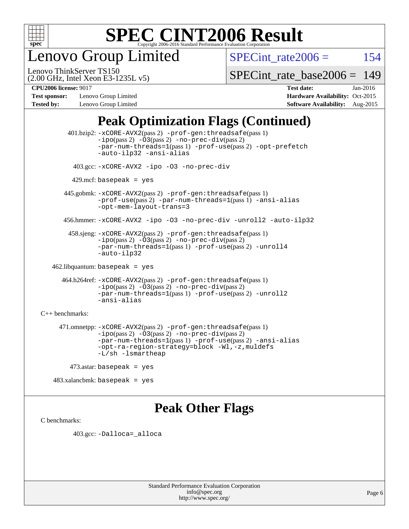

enovo Group Limited

SPECint rate $2006 = 154$ 

(2.00 GHz, Intel Xeon E3-1235L v5) Lenovo ThinkServer TS150

[SPECint\\_rate\\_base2006 =](http://www.spec.org/auto/cpu2006/Docs/result-fields.html#SPECintratebase2006) 149

**[Test sponsor:](http://www.spec.org/auto/cpu2006/Docs/result-fields.html#Testsponsor)** Lenovo Group Limited **[Hardware Availability:](http://www.spec.org/auto/cpu2006/Docs/result-fields.html#HardwareAvailability)** Oct-2015

**[CPU2006 license:](http://www.spec.org/auto/cpu2006/Docs/result-fields.html#CPU2006license)** 9017 **[Test date:](http://www.spec.org/auto/cpu2006/Docs/result-fields.html#Testdate)** Jan-2016 **[Tested by:](http://www.spec.org/auto/cpu2006/Docs/result-fields.html#Testedby)** Lenovo Group Limited **[Software Availability:](http://www.spec.org/auto/cpu2006/Docs/result-fields.html#SoftwareAvailability)** Aug-2015

### **[Peak Optimization Flags \(Continued\)](http://www.spec.org/auto/cpu2006/Docs/result-fields.html#PeakOptimizationFlags)**

 401.bzip2: [-xCORE-AVX2](http://www.spec.org/cpu2006/results/res2016q1/cpu2006-20160125-38844.flags.html#user_peakPASS2_CFLAGSPASS2_LDCFLAGS401_bzip2_f-xAVX2_5f5fc0cbe2c9f62c816d3e45806c70d7)(pass 2) [-prof-gen:threadsafe](http://www.spec.org/cpu2006/results/res2016q1/cpu2006-20160125-38844.flags.html#user_peakPASS1_CFLAGSPASS1_LDCFLAGS401_bzip2_prof_gen_21a26eb79f378b550acd7bec9fe4467a)(pass 1)  $-i\text{po}(pass 2) -03(pass 2) -no-prec-div(pass 2)$  $-i\text{po}(pass 2) -03(pass 2) -no-prec-div(pass 2)$  $-i\text{po}(pass 2) -03(pass 2) -no-prec-div(pass 2)$ [-par-num-threads=1](http://www.spec.org/cpu2006/results/res2016q1/cpu2006-20160125-38844.flags.html#user_peakPASS1_CFLAGSPASS1_LDCFLAGS401_bzip2_par_num_threads_786a6ff141b4e9e90432e998842df6c2)(pass 1) [-prof-use](http://www.spec.org/cpu2006/results/res2016q1/cpu2006-20160125-38844.flags.html#user_peakPASS2_CFLAGSPASS2_LDCFLAGS401_bzip2_prof_use_bccf7792157ff70d64e32fe3e1250b55)(pass 2) [-opt-prefetch](http://www.spec.org/cpu2006/results/res2016q1/cpu2006-20160125-38844.flags.html#user_peakCOPTIMIZE401_bzip2_f-opt-prefetch) [-auto-ilp32](http://www.spec.org/cpu2006/results/res2016q1/cpu2006-20160125-38844.flags.html#user_peakCOPTIMIZE401_bzip2_f-auto-ilp32) [-ansi-alias](http://www.spec.org/cpu2006/results/res2016q1/cpu2006-20160125-38844.flags.html#user_peakCOPTIMIZE401_bzip2_f-ansi-alias) 403.gcc: [-xCORE-AVX2](http://www.spec.org/cpu2006/results/res2016q1/cpu2006-20160125-38844.flags.html#user_peakCOPTIMIZE403_gcc_f-xAVX2_5f5fc0cbe2c9f62c816d3e45806c70d7) [-ipo](http://www.spec.org/cpu2006/results/res2016q1/cpu2006-20160125-38844.flags.html#user_peakCOPTIMIZE403_gcc_f-ipo) [-O3](http://www.spec.org/cpu2006/results/res2016q1/cpu2006-20160125-38844.flags.html#user_peakCOPTIMIZE403_gcc_f-O3) [-no-prec-div](http://www.spec.org/cpu2006/results/res2016q1/cpu2006-20160125-38844.flags.html#user_peakCOPTIMIZE403_gcc_f-no-prec-div)  $429$ .mcf: basepeak = yes 445.gobmk: [-xCORE-AVX2](http://www.spec.org/cpu2006/results/res2016q1/cpu2006-20160125-38844.flags.html#user_peakPASS2_CFLAGSPASS2_LDCFLAGS445_gobmk_f-xAVX2_5f5fc0cbe2c9f62c816d3e45806c70d7)(pass 2) [-prof-gen:threadsafe](http://www.spec.org/cpu2006/results/res2016q1/cpu2006-20160125-38844.flags.html#user_peakPASS1_CFLAGSPASS1_LDCFLAGS445_gobmk_prof_gen_21a26eb79f378b550acd7bec9fe4467a)(pass 1) [-prof-use](http://www.spec.org/cpu2006/results/res2016q1/cpu2006-20160125-38844.flags.html#user_peakPASS2_CFLAGSPASS2_LDCFLAGS445_gobmk_prof_use_bccf7792157ff70d64e32fe3e1250b55)(pass 2) [-par-num-threads=1](http://www.spec.org/cpu2006/results/res2016q1/cpu2006-20160125-38844.flags.html#user_peakPASS1_CFLAGSPASS1_LDCFLAGS445_gobmk_par_num_threads_786a6ff141b4e9e90432e998842df6c2)(pass 1) [-ansi-alias](http://www.spec.org/cpu2006/results/res2016q1/cpu2006-20160125-38844.flags.html#user_peakCOPTIMIZE445_gobmk_f-ansi-alias) [-opt-mem-layout-trans=3](http://www.spec.org/cpu2006/results/res2016q1/cpu2006-20160125-38844.flags.html#user_peakCOPTIMIZE445_gobmk_f-opt-mem-layout-trans_a7b82ad4bd7abf52556d4961a2ae94d5) 456.hmmer: [-xCORE-AVX2](http://www.spec.org/cpu2006/results/res2016q1/cpu2006-20160125-38844.flags.html#user_peakCOPTIMIZE456_hmmer_f-xAVX2_5f5fc0cbe2c9f62c816d3e45806c70d7) [-ipo](http://www.spec.org/cpu2006/results/res2016q1/cpu2006-20160125-38844.flags.html#user_peakCOPTIMIZE456_hmmer_f-ipo) [-O3](http://www.spec.org/cpu2006/results/res2016q1/cpu2006-20160125-38844.flags.html#user_peakCOPTIMIZE456_hmmer_f-O3) [-no-prec-div](http://www.spec.org/cpu2006/results/res2016q1/cpu2006-20160125-38844.flags.html#user_peakCOPTIMIZE456_hmmer_f-no-prec-div) [-unroll2](http://www.spec.org/cpu2006/results/res2016q1/cpu2006-20160125-38844.flags.html#user_peakCOPTIMIZE456_hmmer_f-unroll_784dae83bebfb236979b41d2422d7ec2) [-auto-ilp32](http://www.spec.org/cpu2006/results/res2016q1/cpu2006-20160125-38844.flags.html#user_peakCOPTIMIZE456_hmmer_f-auto-ilp32) 458.sjeng: [-xCORE-AVX2](http://www.spec.org/cpu2006/results/res2016q1/cpu2006-20160125-38844.flags.html#user_peakPASS2_CFLAGSPASS2_LDCFLAGS458_sjeng_f-xAVX2_5f5fc0cbe2c9f62c816d3e45806c70d7)(pass 2) [-prof-gen:threadsafe](http://www.spec.org/cpu2006/results/res2016q1/cpu2006-20160125-38844.flags.html#user_peakPASS1_CFLAGSPASS1_LDCFLAGS458_sjeng_prof_gen_21a26eb79f378b550acd7bec9fe4467a)(pass 1) [-ipo](http://www.spec.org/cpu2006/results/res2016q1/cpu2006-20160125-38844.flags.html#user_peakPASS2_CFLAGSPASS2_LDCFLAGS458_sjeng_f-ipo)(pass 2) [-O3](http://www.spec.org/cpu2006/results/res2016q1/cpu2006-20160125-38844.flags.html#user_peakPASS2_CFLAGSPASS2_LDCFLAGS458_sjeng_f-O3)(pass 2) [-no-prec-div](http://www.spec.org/cpu2006/results/res2016q1/cpu2006-20160125-38844.flags.html#user_peakPASS2_CFLAGSPASS2_LDCFLAGS458_sjeng_f-no-prec-div)(pass 2) [-par-num-threads=1](http://www.spec.org/cpu2006/results/res2016q1/cpu2006-20160125-38844.flags.html#user_peakPASS1_CFLAGSPASS1_LDCFLAGS458_sjeng_par_num_threads_786a6ff141b4e9e90432e998842df6c2)(pass 1) [-prof-use](http://www.spec.org/cpu2006/results/res2016q1/cpu2006-20160125-38844.flags.html#user_peakPASS2_CFLAGSPASS2_LDCFLAGS458_sjeng_prof_use_bccf7792157ff70d64e32fe3e1250b55)(pass 2) [-unroll4](http://www.spec.org/cpu2006/results/res2016q1/cpu2006-20160125-38844.flags.html#user_peakCOPTIMIZE458_sjeng_f-unroll_4e5e4ed65b7fd20bdcd365bec371b81f) [-auto-ilp32](http://www.spec.org/cpu2006/results/res2016q1/cpu2006-20160125-38844.flags.html#user_peakCOPTIMIZE458_sjeng_f-auto-ilp32) 462.libquantum: basepeak = yes 464.h264ref: [-xCORE-AVX2](http://www.spec.org/cpu2006/results/res2016q1/cpu2006-20160125-38844.flags.html#user_peakPASS2_CFLAGSPASS2_LDCFLAGS464_h264ref_f-xAVX2_5f5fc0cbe2c9f62c816d3e45806c70d7)(pass 2) [-prof-gen:threadsafe](http://www.spec.org/cpu2006/results/res2016q1/cpu2006-20160125-38844.flags.html#user_peakPASS1_CFLAGSPASS1_LDCFLAGS464_h264ref_prof_gen_21a26eb79f378b550acd7bec9fe4467a)(pass 1) [-ipo](http://www.spec.org/cpu2006/results/res2016q1/cpu2006-20160125-38844.flags.html#user_peakPASS2_CFLAGSPASS2_LDCFLAGS464_h264ref_f-ipo)(pass 2) [-O3](http://www.spec.org/cpu2006/results/res2016q1/cpu2006-20160125-38844.flags.html#user_peakPASS2_CFLAGSPASS2_LDCFLAGS464_h264ref_f-O3)(pass 2) [-no-prec-div](http://www.spec.org/cpu2006/results/res2016q1/cpu2006-20160125-38844.flags.html#user_peakPASS2_CFLAGSPASS2_LDCFLAGS464_h264ref_f-no-prec-div)(pass 2) [-par-num-threads=1](http://www.spec.org/cpu2006/results/res2016q1/cpu2006-20160125-38844.flags.html#user_peakPASS1_CFLAGSPASS1_LDCFLAGS464_h264ref_par_num_threads_786a6ff141b4e9e90432e998842df6c2)(pass 1) [-prof-use](http://www.spec.org/cpu2006/results/res2016q1/cpu2006-20160125-38844.flags.html#user_peakPASS2_CFLAGSPASS2_LDCFLAGS464_h264ref_prof_use_bccf7792157ff70d64e32fe3e1250b55)(pass 2) [-unroll2](http://www.spec.org/cpu2006/results/res2016q1/cpu2006-20160125-38844.flags.html#user_peakCOPTIMIZE464_h264ref_f-unroll_784dae83bebfb236979b41d2422d7ec2) [-ansi-alias](http://www.spec.org/cpu2006/results/res2016q1/cpu2006-20160125-38844.flags.html#user_peakCOPTIMIZE464_h264ref_f-ansi-alias) [C++ benchmarks:](http://www.spec.org/auto/cpu2006/Docs/result-fields.html#CXXbenchmarks) 471.omnetpp: [-xCORE-AVX2](http://www.spec.org/cpu2006/results/res2016q1/cpu2006-20160125-38844.flags.html#user_peakPASS2_CXXFLAGSPASS2_LDCXXFLAGS471_omnetpp_f-xAVX2_5f5fc0cbe2c9f62c816d3e45806c70d7)(pass 2) [-prof-gen:threadsafe](http://www.spec.org/cpu2006/results/res2016q1/cpu2006-20160125-38844.flags.html#user_peakPASS1_CXXFLAGSPASS1_LDCXXFLAGS471_omnetpp_prof_gen_21a26eb79f378b550acd7bec9fe4467a)(pass 1)  $-ipo(pass 2) -\overline{03(pass 2)}$  $-ipo(pass 2) -\overline{03(pass 2)}$  [-no-prec-div](http://www.spec.org/cpu2006/results/res2016q1/cpu2006-20160125-38844.flags.html#user_peakPASS2_CXXFLAGSPASS2_LDCXXFLAGS471_omnetpp_f-no-prec-div)(pass 2) [-par-num-threads=1](http://www.spec.org/cpu2006/results/res2016q1/cpu2006-20160125-38844.flags.html#user_peakPASS1_CXXFLAGSPASS1_LDCXXFLAGS471_omnetpp_par_num_threads_786a6ff141b4e9e90432e998842df6c2)(pass 1) [-prof-use](http://www.spec.org/cpu2006/results/res2016q1/cpu2006-20160125-38844.flags.html#user_peakPASS2_CXXFLAGSPASS2_LDCXXFLAGS471_omnetpp_prof_use_bccf7792157ff70d64e32fe3e1250b55)(pass 2) [-ansi-alias](http://www.spec.org/cpu2006/results/res2016q1/cpu2006-20160125-38844.flags.html#user_peakCXXOPTIMIZE471_omnetpp_f-ansi-alias) [-opt-ra-region-strategy=block](http://www.spec.org/cpu2006/results/res2016q1/cpu2006-20160125-38844.flags.html#user_peakCXXOPTIMIZE471_omnetpp_f-opt-ra-region-strategy_a0a37c372d03933b2a18d4af463c1f69) [-Wl,-z,muldefs](http://www.spec.org/cpu2006/results/res2016q1/cpu2006-20160125-38844.flags.html#user_peakEXTRA_LDFLAGS471_omnetpp_link_force_multiple1_74079c344b956b9658436fd1b6dd3a8a) [-L/sh -lsmartheap](http://www.spec.org/cpu2006/results/res2016q1/cpu2006-20160125-38844.flags.html#user_peakEXTRA_LIBS471_omnetpp_SmartHeap_32f6c82aa1ed9c52345d30cf6e4a0499) 473.astar: basepeak = yes

**[Peak Other Flags](http://www.spec.org/auto/cpu2006/Docs/result-fields.html#PeakOtherFlags)**

[C benchmarks](http://www.spec.org/auto/cpu2006/Docs/result-fields.html#Cbenchmarks):

403.gcc: [-Dalloca=\\_alloca](http://www.spec.org/cpu2006/results/res2016q1/cpu2006-20160125-38844.flags.html#b403.gcc_peakEXTRA_CFLAGS_Dalloca_be3056838c12de2578596ca5467af7f3)

483.xalancbmk: basepeak = yes